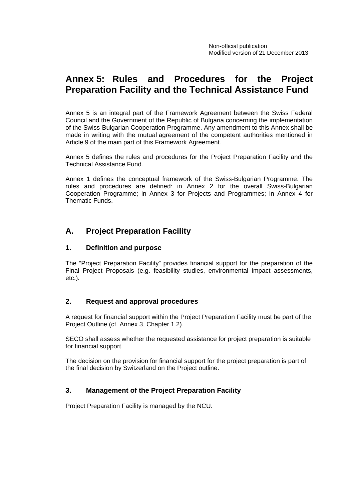# **Annex 5: Rules and Procedures for the Project Preparation Facility and the Technical Assistance Fund**

Annex 5 is an integral part of the Framework Agreement between the Swiss Federal Council and the Government of the Republic of Bulgaria concerning the implementation of the Swiss-Bulgarian Cooperation Programme. Any amendment to this Annex shall be made in writing with the mutual agreement of the competent authorities mentioned in Article 9 of the main part of this Framework Agreement.

Annex 5 defines the rules and procedures for the Project Preparation Facility and the Technical Assistance Fund.

Annex 1 defines the conceptual framework of the Swiss-Bulgarian Programme. The rules and procedures are defined: in Annex 2 for the overall Swiss-Bulgarian Cooperation Programme; in Annex 3 for Projects and Programmes; in Annex 4 for Thematic Funds.

## **A. Project Preparation Facility**

#### **1. Definition and purpose**

The "Project Preparation Facility" provides financial support for the preparation of the Final Project Proposals (e.g. feasibility studies, environmental impact assessments, etc.).

#### **2. Request and approval procedures**

A request for financial support within the Project Preparation Facility must be part of the Project Outline (cf. Annex 3, Chapter 1.2).

SECO shall assess whether the requested assistance for project preparation is suitable for financial support.

The decision on the provision for financial support for the project preparation is part of the final decision by Switzerland on the Project outline.

#### **3. Management of the Project Preparation Facility**

Project Preparation Facility is managed by the NCU.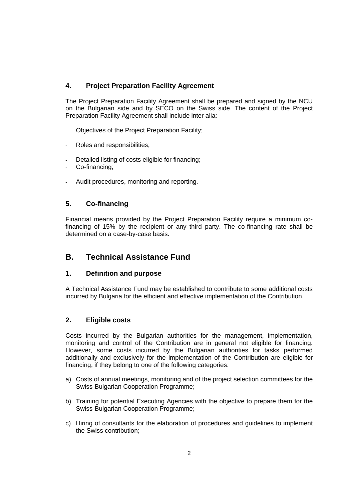#### **4. Project Preparation Facility Agreement**

The Project Preparation Facility Agreement shall be prepared and signed by the NCU on the Bulgarian side and by SECO on the Swiss side. The content of the Project Preparation Facility Agreement shall include inter alia:

- Objectives of the Project Preparation Facility;
- Roles and responsibilities;
- Detailed listing of costs eligible for financing:
- Co-financing:
- Audit procedures, monitoring and reporting.

#### **5. Co-financing**

Financial means provided by the Project Preparation Facility require a minimum cofinancing of 15% by the recipient or any third party. The co-financing rate shall be determined on a case-by-case basis.

## **B. Technical Assistance Fund**

#### **1. Definition and purpose**

A Technical Assistance Fund may be established to contribute to some additional costs incurred by Bulgaria for the efficient and effective implementation of the Contribution.

#### **2. Eligible costs**

Costs incurred by the Bulgarian authorities for the management, implementation, monitoring and control of the Contribution are in general not eligible for financing. However, some costs incurred by the Bulgarian authorities for tasks performed additionally and exclusively for the implementation of the Contribution are eligible for financing, if they belong to one of the following categories:

- a) Costs of annual meetings, monitoring and of the project selection committees for the Swiss-Bulgarian Cooperation Programme;
- b) Training for potential Executing Agencies with the objective to prepare them for the Swiss-Bulgarian Cooperation Programme;
- c) Hiring of consultants for the elaboration of procedures and guidelines to implement the Swiss contribution;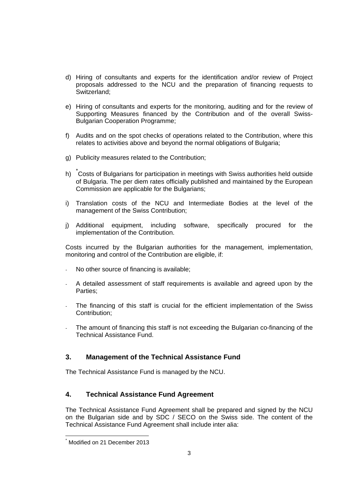- d) Hiring of consultants and experts for the identification and/or review of Project proposals addressed to the NCU and the preparation of financing requests to Switzerland;
- e) Hiring of consultants and experts for the monitoring, auditing and for the review of Supporting Measures financed by the Contribution and of the overall Swiss-Bulgarian Cooperation Programme;
- f) Audits and on the spot checks of operations related to the Contribution, where this relates to activities above and beyond the normal obligations of Bulgaria;
- g) Publicity measures related to the Contribution;
- h) <sup>\*</sup>Costs of Bulgarians for participation in meetings with Swiss authorities held outside of Bulgaria. The per diem rates officially published and maintained by the European Commission are applicable for the Bulgarians;
- i) Translation costs of the NCU and Intermediate Bodies at the level of the management of the Swiss Contribution;
- j) Additional equipment, including software, specifically procured for the implementation of the Contribution.

Costs incurred by the Bulgarian authorities for the management, implementation, monitoring and control of the Contribution are eligible, if:

- No other source of financing is available;
- A detailed assessment of staff requirements is available and agreed upon by the Parties;
- The financing of this staff is crucial for the efficient implementation of the Swiss Contribution;
- The amount of financing this staff is not exceeding the Bulgarian co-financing of the Technical Assistance Fund.

## **3. Management of the Technical Assistance Fund**

The Technical Assistance Fund is managed by the NCU.

#### **4. Technical Assistance Fund Agreement**

The Technical Assistance Fund Agreement shall be prepared and signed by the NCU on the Bulgarian side and by SDC / SECO on the Swiss side. The content of the Technical Assistance Fund Agreement shall include inter alia:

<sup>-</sup>\* Modified on 21 December 2013